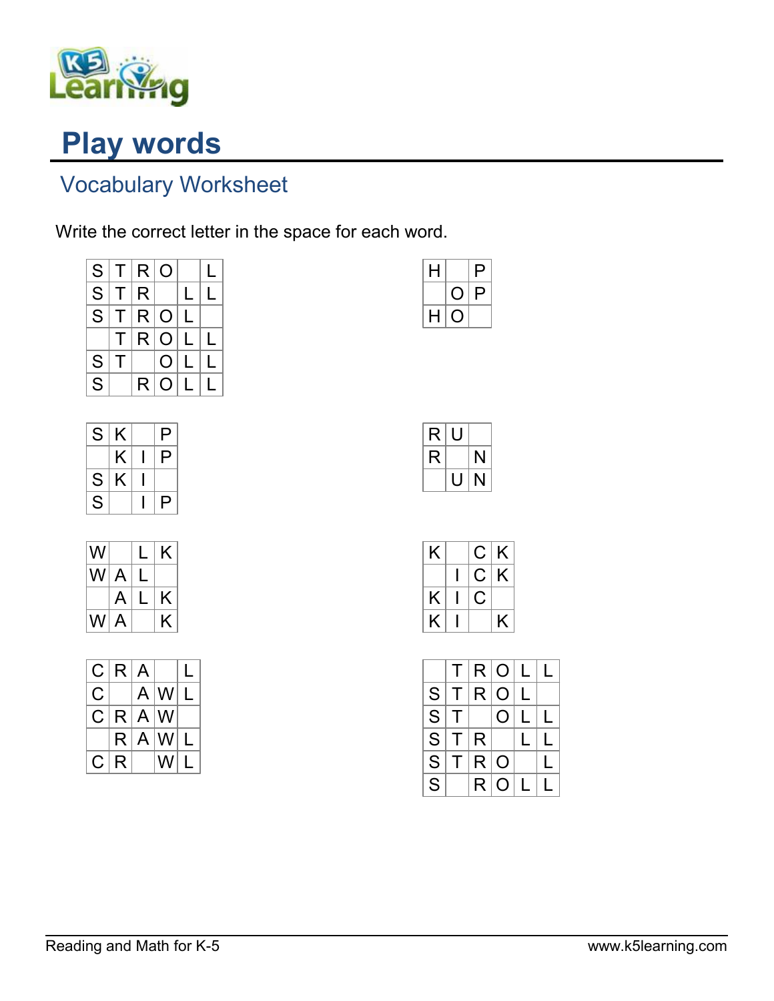

## Play words

## Vocabulary Worksheet

Write the correct letter in the space for each word.

| S  |        | T R 0 |     |              | L |
|----|--------|-------|-----|--------------|---|
| S. | $\top$ | R.    |     | L            | L |
| S. | T.     | R O   |     | L            |   |
|    | T.     |       | R O | $\mathsf{L}$ | L |
| S  |        |       | O   | $\mathsf{L}$ | L |
| S  |        | R.    | O   | L            |   |

| S | Κ | P |
|---|---|---|
|   | Κ | P |
| S | K |   |
| S |   | P |

| W    |   | L | K |
|------|---|---|---|
| WI A |   | L |   |
|      | A | L | K |
| W A  |   |   | K |

|    | C R A |             |                 |  |
|----|-------|-------------|-----------------|--|
| C. |       |             | A W L           |  |
| C. |       | $R$ $A$ $W$ |                 |  |
|    |       |             | $R$ $A$ $W$ $L$ |  |
| C. | R     |             | W               |  |

| н |   | Ρ |  |
|---|---|---|--|
|   |   | Р |  |
| H | L |   |  |

| R | U |    |
|---|---|----|
| R |   | N  |
|   | H | Ń, |

| K  | C. | K |
|----|----|---|
|    | С  | Κ |
| K. | Ċ  |   |
| K  |    | K |

|                         | T.           |     | R O L          |   |  |
|-------------------------|--------------|-----|----------------|---|--|
| S                       | $\mathsf{T}$ | R   | $\Omega$       | L |  |
| S                       | т            |     | $\mathbf O$    |   |  |
| S                       | T.           | ∣R  |                |   |  |
| S                       |              | T R | $\overline{O}$ |   |  |
| $\overline{\mathsf{S}}$ |              | R.  | O              |   |  |